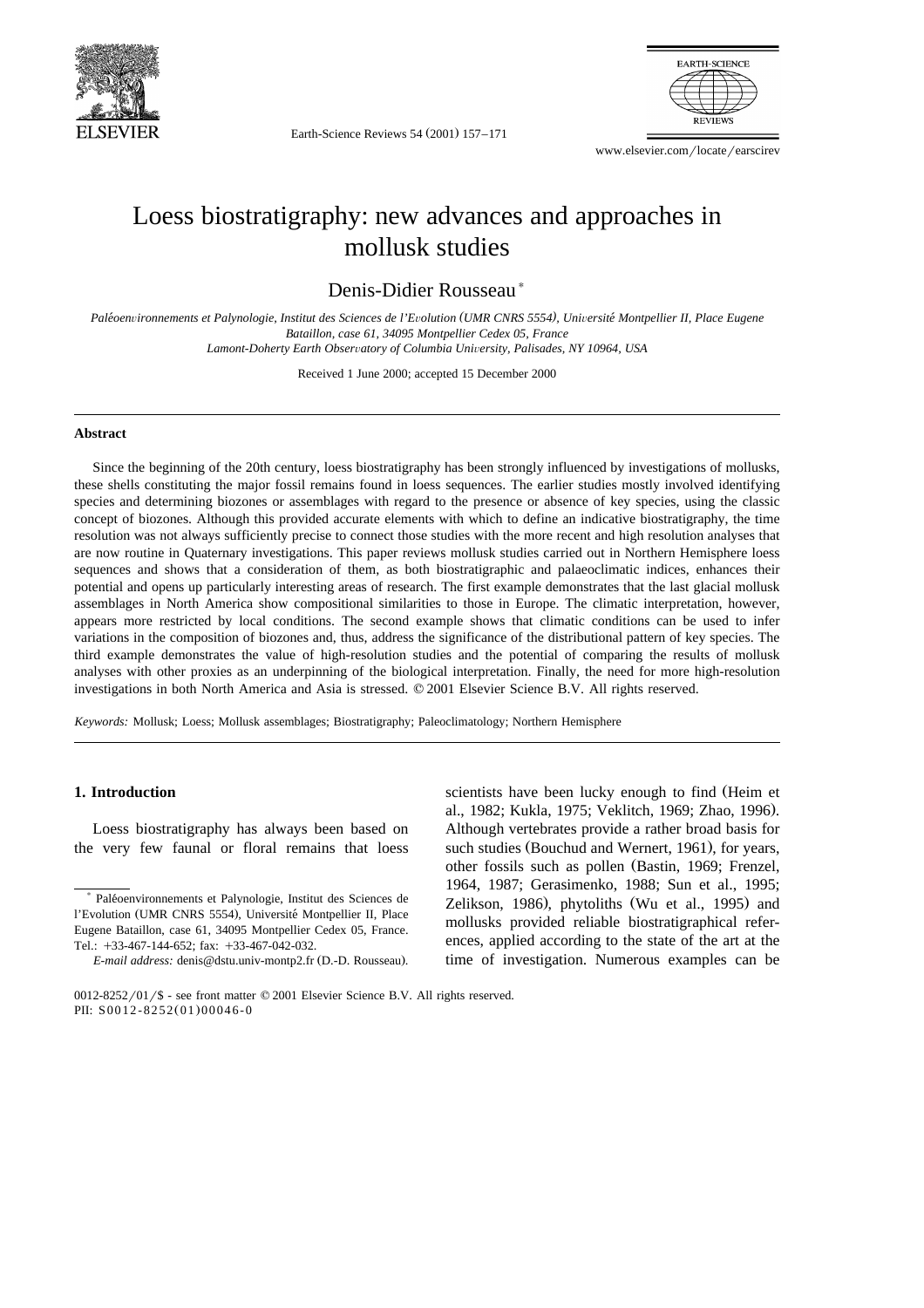

Earth-Science Reviews 54 (2001) 157-171



www.elsevier.com/locate/earscirev

# Loess biostratigraphy: new advances and approaches in mollusk studies

Denis-Didier Rousseau)

Paléoenvironnements et Palynologie, Institut des Sciences de l'Evolution (UMR CNRS 5554), Université Montpellier II, Place Eugene *Bataillon, case 61, 34095 Montpellier Cedex 05, France Lamont-Doherty Earth Obser*Õ*atory of Columbia Uni*Õ*ersity, Palisades, NY 10964, USA*

Received 1 June 2000; accepted 15 December 2000

#### **Abstract**

Since the beginning of the 20th century, loess biostratigraphy has been strongly influenced by investigations of mollusks, these shells constituting the major fossil remains found in loess sequences. The earlier studies mostly involved identifying species and determining biozones or assemblages with regard to the presence or absence of key species, using the classic concept of biozones. Although this provided accurate elements with which to define an indicative biostratigraphy, the time resolution was not always sufficiently precise to connect those studies with the more recent and high resolution analyses that are now routine in Quaternary investigations. This paper reviews mollusk studies carried out in Northern Hemisphere loess sequences and shows that a consideration of them, as both biostratigraphic and palaeoclimatic indices, enhances their potential and opens up particularly interesting areas of research. The first example demonstrates that the last glacial mollusk assemblages in North America show compositional similarities to those in Europe. The climatic interpretation, however, appears more restricted by local conditions. The second example shows that climatic conditions can be used to infer variations in the composition of biozones and, thus, address the significance of the distributional pattern of key species. The third example demonstrates the value of high-resolution studies and the potential of comparing the results of mollusk analyses with other proxies as an underpinning of the biological interpretation. Finally, the need for more high-resolution investigations in both North America and Asia is stressed. © 2001 Elsevier Science B.V. All rights reserved.

*Keywords:* Mollusk; Loess; Mollusk assemblages; Biostratigraphy; Paleoclimatology; Northern Hemisphere

### **1. Introduction**

Loess biostratigraphy has always been based on the very few faunal or floral remains that loess scientists have been lucky enough to find (Heim et al., 1982; Kukla, 1975; Veklitch, 1969; Zhao, 1996). Although vertebrates provide a rather broad basis for such studies (Bouchud and Wernert, 1961), for years, other fossils such as pollen (Bastin, 1969; Frenzel, 1964, 1987; Gerasimenko, 1988; Sun et al., 1995; Zelikson, 1986), phytoliths (Wu et al., 1995) and mollusks provided reliable biostratigraphical references, applied according to the state of the art at the time of investigation. Numerous examples can be

<sup>)</sup> Paleoenvironnements et Palynologie, Institut des Sciences de ´ l'Evolution (UMR CNRS 5554), Université Montpellier II, Place Eugene Bataillon, case 61, 34095 Montpellier Cedex 05, France. Tel.: +33-467-144-652; fax: +33-467-042-032.

*E-mail address:* denis@dstu.univ-montp2.fr (D.-D. Rousseau).

 $0012-8252/01/$ \$ - see front matter  $© 2001$  Elsevier Science B.V. All rights reserved. PII: S0012-8252(01)00046-0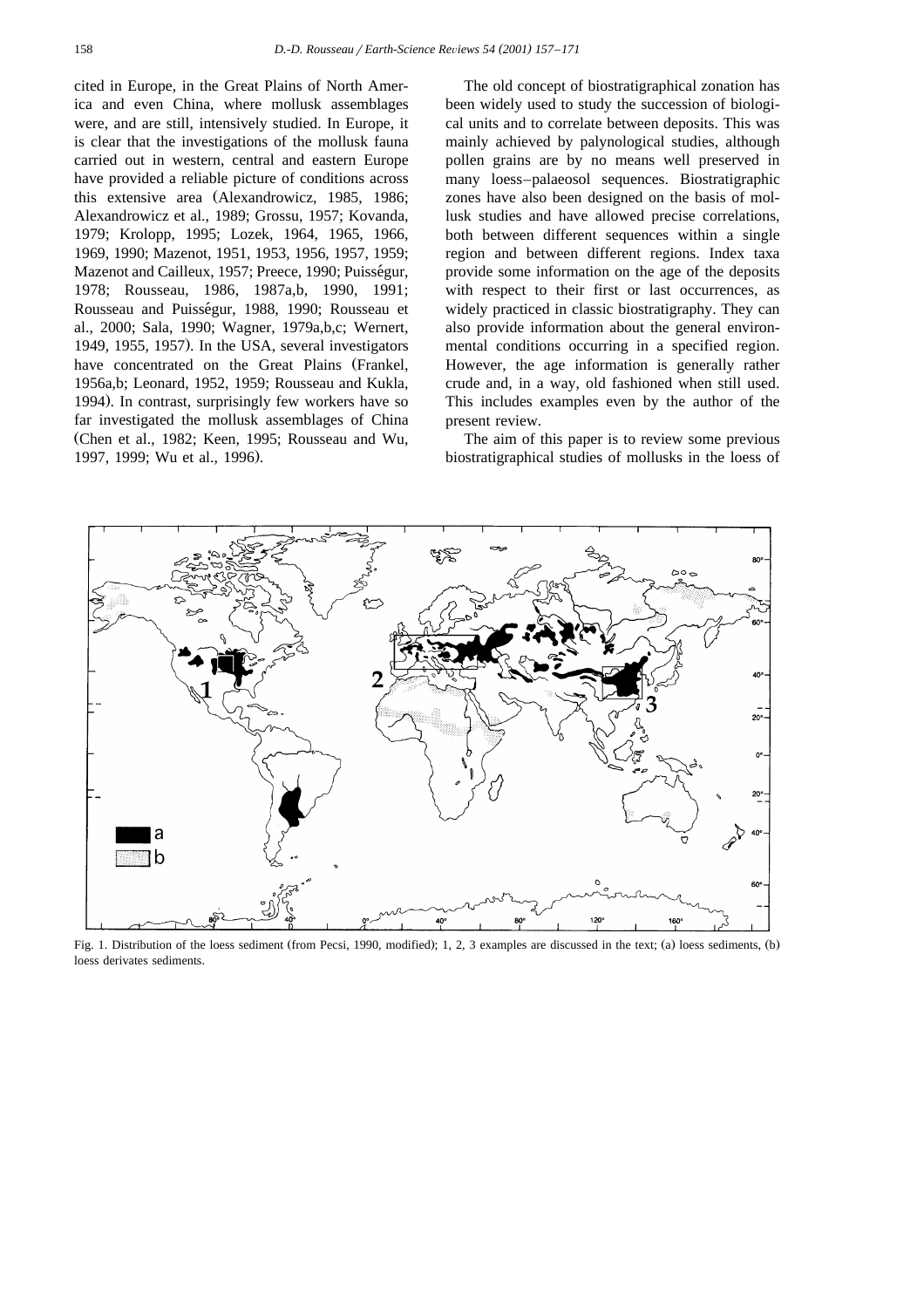cited in Europe, in the Great Plains of North America and even China, where mollusk assemblages were, and are still, intensively studied. In Europe, it is clear that the investigations of the mollusk fauna carried out in western, central and eastern Europe have provided a reliable picture of conditions across this extensive area (Alexandrowicz, 1985, 1986; Alexandrowicz et al., 1989; Grossu, 1957; Kovanda, 1979; Krolopp, 1995; Lozek, 1964, 1965, 1966, 1969, 1990; Mazenot, 1951, 1953, 1956, 1957, 1959; Mazenot and Cailleux, 1957; Preece, 1990; Puisségur, 1978; Rousseau, 1986, 1987a,b, 1990, 1991; Rousseau and Puisségur, 1988, 1990; Rousseau et al., 2000; Sala, 1990; Wagner, 1979a,b,c; Wernert, 1949, 1955, 1957). In the USA, several investigators have concentrated on the Great Plains (Frankel, 1956a,b; Leonard, 1952, 1959; Rousseau and Kukla, 1994). In contrast, surprisingly few workers have so far investigated the mollusk assemblages of China (Chen et al., 1982; Keen, 1995; Rousseau and Wu, 1997, 1999; Wu et al., 1996).

The old concept of biostratigraphical zonation has been widely used to study the succession of biological units and to correlate between deposits. This was mainly achieved by palynological studies, although pollen grains are by no means well preserved in many loess–palaeosol sequences. Biostratigraphic zones have also been designed on the basis of mollusk studies and have allowed precise correlations, both between different sequences within a single region and between different regions. Index taxa provide some information on the age of the deposits with respect to their first or last occurrences, as widely practiced in classic biostratigraphy. They can also provide information about the general environmental conditions occurring in a specified region. However, the age information is generally rather crude and, in a way, old fashioned when still used. This includes examples even by the author of the present review.

The aim of this paper is to review some previous biostratigraphical studies of mollusks in the loess of



Fig. 1. Distribution of the loess sediment (from Pecsi, 1990, modified); 1, 2, 3 examples are discussed in the text; (a) loess sediments, (b) loess derivates sediments.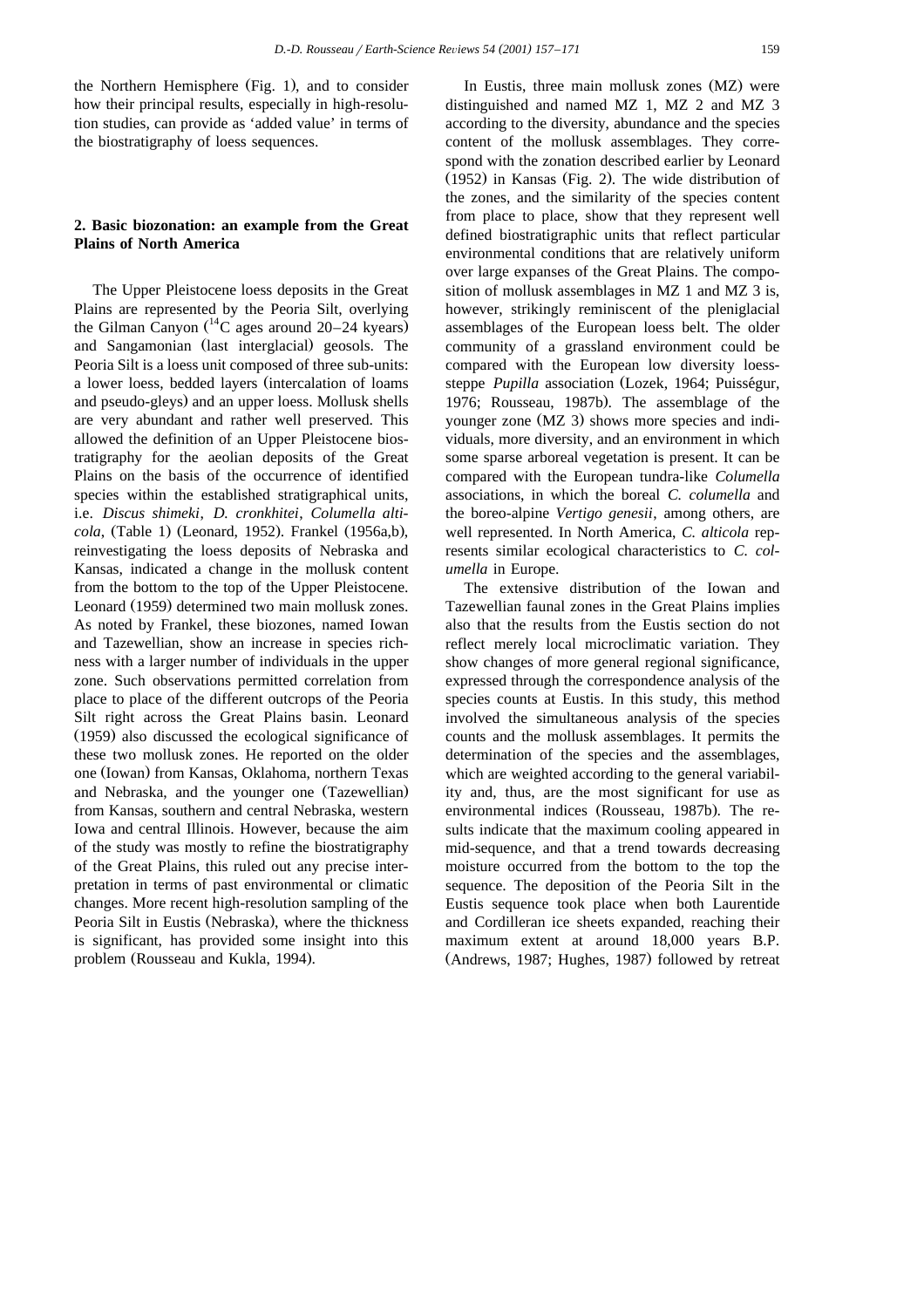the Northern Hemisphere  $(Fig. 1)$ , and to consider how their principal results, especially in high-resolution studies, can provide as 'added value' in terms of the biostratigraphy of loess sequences.

# **2. Basic biozonation: an example from the Great Plains of North America**

The Upper Pleistocene loess deposits in the Great Plains are represented by the Peoria Silt, overlying the Gilman Canyon  $(^{14}C$  ages around 20–24 kyears) and Sangamonian (last interglacial) geosols. The Peoria Silt is a loess unit composed of three sub-units: a lower loess, bedded layers (intercalation of loams and pseudo-gleys) and an upper loess. Mollusk shells are very abundant and rather well preserved. This allowed the definition of an Upper Pleistocene biostratigraphy for the aeolian deposits of the Great Plains on the basis of the occurrence of identified species within the established stratigraphical units, i.e. *Discus shimeki*, *D. cronkhitei*, *Columella alticola*, (Table 1) (Leonard, 1952). Frankel (1956a,b), reinvestigating the loess deposits of Nebraska and Kansas, indicated a change in the mollusk content from the bottom to the top of the Upper Pleistocene. Leonard (1959) determined two main mollusk zones. As noted by Frankel, these biozones, named Iowan and Tazewellian, show an increase in species richness with a larger number of individuals in the upper zone. Such observations permitted correlation from place to place of the different outcrops of the Peoria Silt right across the Great Plains basin. Leonard (1959) also discussed the ecological significance of these two mollusk zones. He reported on the older one (Iowan) from Kansas, Oklahoma, northern Texas and Nebraska, and the younger one (Tazewellian) from Kansas, southern and central Nebraska, western Iowa and central Illinois. However, because the aim of the study was mostly to refine the biostratigraphy of the Great Plains, this ruled out any precise interpretation in terms of past environmental or climatic changes. More recent high-resolution sampling of the Peoria Silt in Eustis (Nebraska), where the thickness is significant, has provided some insight into this problem (Rousseau and Kukla, 1994).

In Eustis, three main mollusk zones (MZ) were distinguished and named MZ 1, MZ 2 and MZ 3 according to the diversity, abundance and the species content of the mollusk assemblages. They correspond with the zonation described earlier by Leonard  $(1952)$  in Kansas (Fig. 2). The wide distribution of the zones, and the similarity of the species content from place to place, show that they represent well defined biostratigraphic units that reflect particular environmental conditions that are relatively uniform over large expanses of the Great Plains. The composition of mollusk assemblages in MZ 1 and MZ 3 is, however, strikingly reminiscent of the pleniglacial assemblages of the European loess belt. The older community of a grassland environment could be compared with the European low diversity loesssteppe *Pupilla* association (Lozek, 1964; Puisségur, 1976; Rousseau, 1987b). The assemblage of the younger zone (MZ 3) shows more species and individuals, more diversity, and an environment in which some sparse arboreal vegetation is present. It can be compared with the European tundra-like *Columella* associations, in which the boreal *C. columella* and the boreo-alpine *Vertigo genesii*, among others, are well represented. In North America, *C. alticola* represents similar ecological characteristics to *C. columella* in Europe.

The extensive distribution of the Iowan and Tazewellian faunal zones in the Great Plains implies also that the results from the Eustis section do not reflect merely local microclimatic variation. They show changes of more general regional significance, expressed through the correspondence analysis of the species counts at Eustis. In this study, this method involved the simultaneous analysis of the species counts and the mollusk assemblages. It permits the determination of the species and the assemblages, which are weighted according to the general variability and, thus, are the most significant for use as environmental indices (Rousseau, 1987b). The results indicate that the maximum cooling appeared in mid-sequence, and that a trend towards decreasing moisture occurred from the bottom to the top the sequence. The deposition of the Peoria Silt in the Eustis sequence took place when both Laurentide and Cordilleran ice sheets expanded, reaching their maximum extent at around 18,000 years B.P. (Andrews, 1987; Hughes, 1987) followed by retreat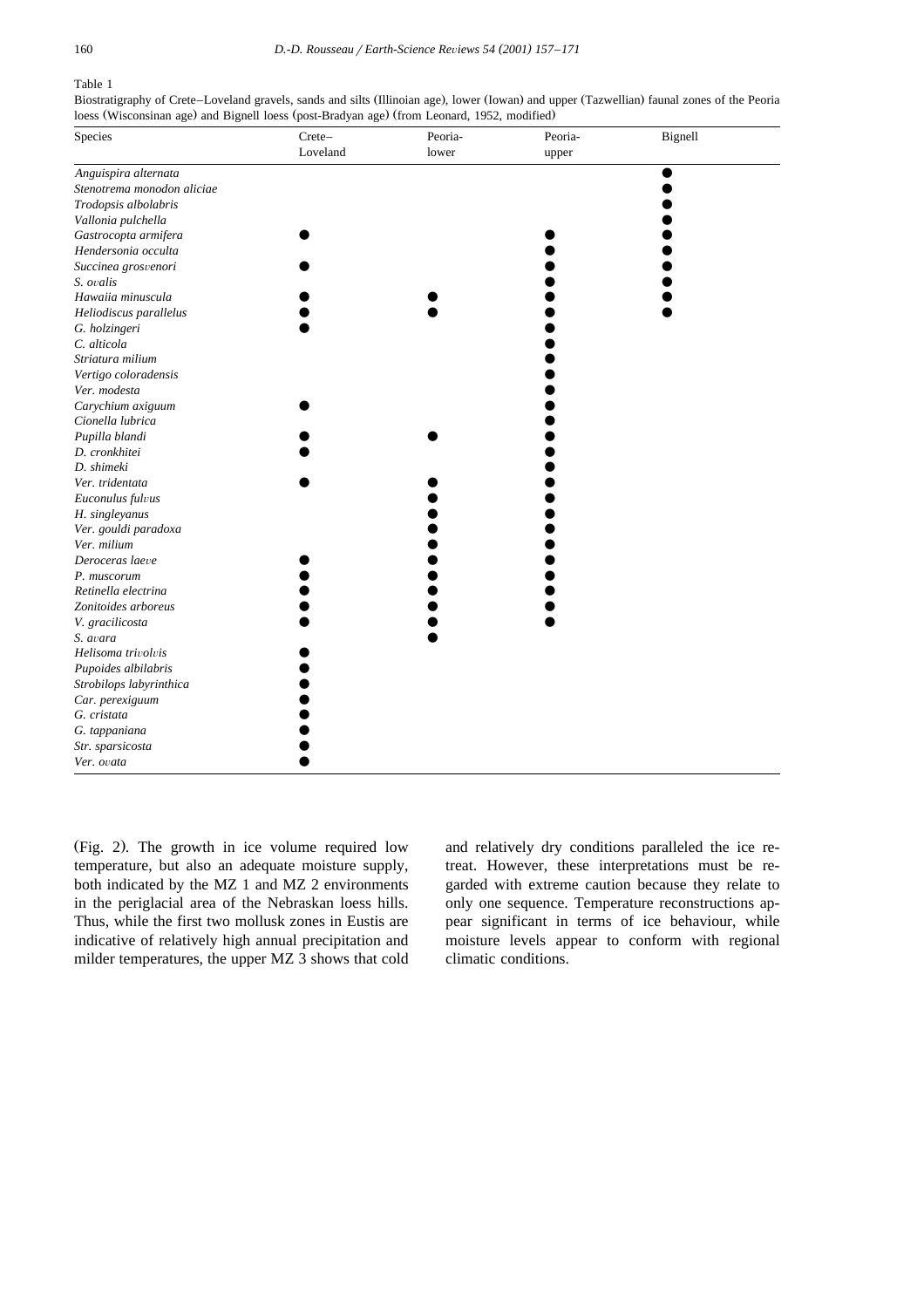#### Table 1

Biostratigraphy of Crete–Loveland gravels, sands and silts (Illinoian age), lower (Iowan) and upper (Tazwellian) faunal zones of the Peoria loess (Wisconsinan age) and Bignell loess (post-Bradyan age) (from Leonard, 1952, modified)

| Species                    | Crete-   | Peoria- | Peoria- | Bignell |
|----------------------------|----------|---------|---------|---------|
|                            | Loveland | lower   | upper   |         |
| Anguispira alternata       |          |         |         |         |
| Stenotrema monodon aliciae |          |         |         |         |
| Trodopsis albolabris       |          |         |         |         |
| Vallonia pulchella         |          |         |         |         |
| Gastrocopta armifera       |          |         |         |         |
| Hendersonia occulta        |          |         |         |         |
| Succinea grosvenori        |          |         |         |         |
| S. ovalis                  |          |         |         |         |
| Hawaiia minuscula          |          |         |         |         |
| Heliodiscus parallelus     |          |         |         |         |
| G. holzingeri              |          |         |         |         |
| C. alticola                |          |         |         |         |
| Striatura milium           |          |         |         |         |
| Vertigo coloradensis       |          |         |         |         |
| Ver. modesta               |          |         |         |         |
| Carychium axiguum          |          |         |         |         |
| Cionella lubrica           |          |         |         |         |
| Pupilla blandi             |          |         |         |         |
| D. cronkhitei              |          |         |         |         |
| D. shimeki                 |          |         |         |         |
| Ver. tridentata            |          |         |         |         |
| Euconulus fulvus           |          |         |         |         |
| H. singleyanus             |          |         |         |         |
| Ver. gouldi paradoxa       |          |         |         |         |
| Ver. milium                |          |         |         |         |
| Deroceras laeve            |          |         |         |         |
| P. muscorum                |          |         |         |         |
| Retinella electrina        |          |         |         |         |
| Zonitoides arboreus        |          |         |         |         |
| V. gracilicosta            |          |         |         |         |
| S. avara                   |          |         |         |         |
| Helisoma trivolvis         |          |         |         |         |
| Pupoides albilabris        |          |         |         |         |
| Strobilops labyrinthica    |          |         |         |         |
| Car. perexiguum            |          |         |         |         |
| G. cristata                |          |         |         |         |
| G. tappaniana              |          |         |         |         |
| Str. sparsicosta           |          |         |         |         |
| Ver. ovata                 |          |         |         |         |

(Fig. 2). The growth in ice volume required low temperature, but also an adequate moisture supply, both indicated by the MZ 1 and MZ 2 environments in the periglacial area of the Nebraskan loess hills. Thus, while the first two mollusk zones in Eustis are indicative of relatively high annual precipitation and milder temperatures, the upper MZ 3 shows that cold

and relatively dry conditions paralleled the ice retreat. However, these interpretations must be regarded with extreme caution because they relate to only one sequence. Temperature reconstructions appear significant in terms of ice behaviour, while moisture levels appear to conform with regional climatic conditions.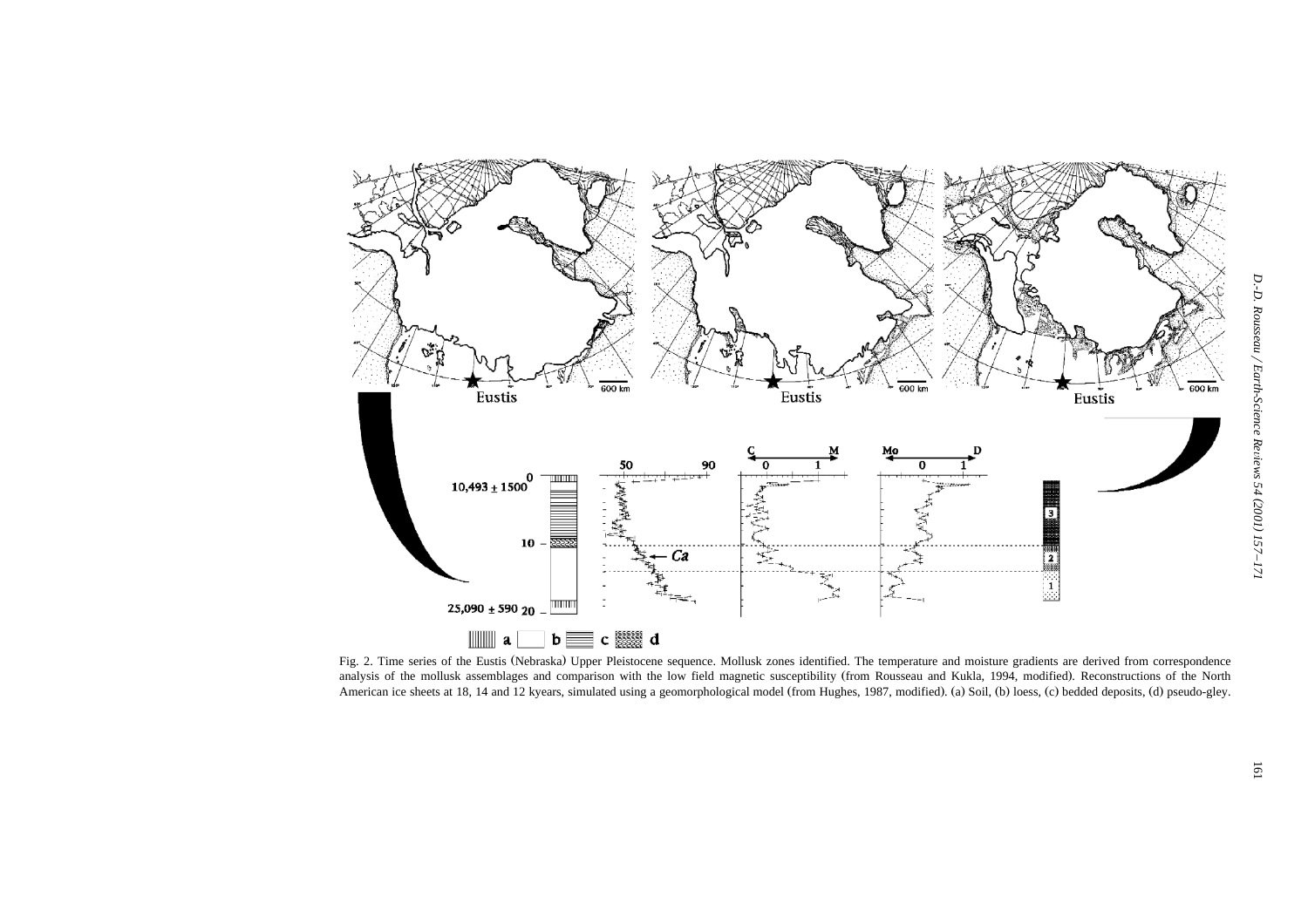

Fig. 2. Time series of the Eustis (Nebraska) Upper Pleistocene sequence. Mollusk zones identified. The temperature and moisture gradients are derived from correspondence analysis of the mollusk assemblages and comparison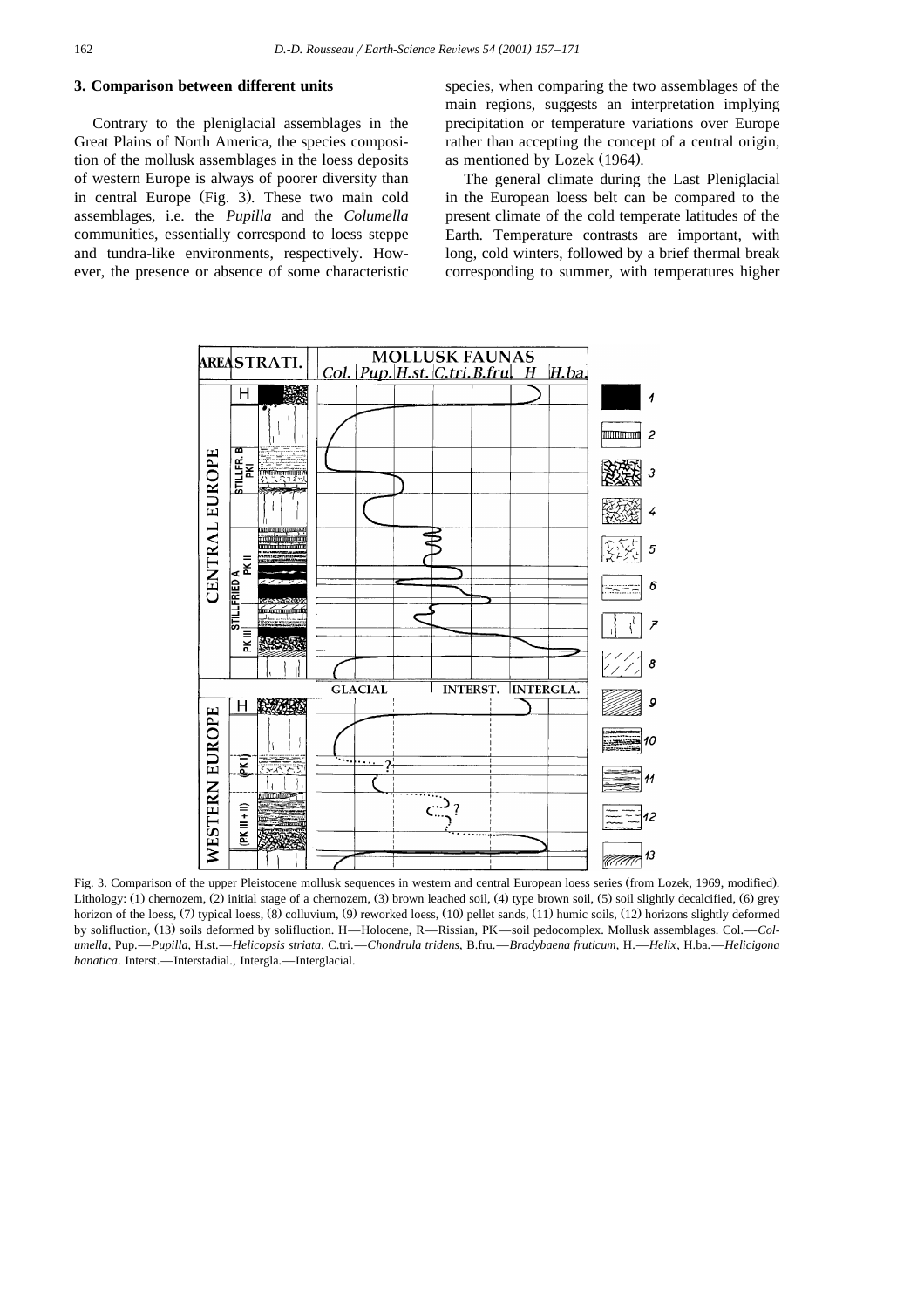# **3. Comparison between different units**

Contrary to the pleniglacial assemblages in the Great Plains of North America, the species composition of the mollusk assemblages in the loess deposits of western Europe is always of poorer diversity than in central Europe (Fig. 3). These two main cold assemblages, i.e. the *Pupilla* and the *Columella* communities, essentially correspond to loess steppe and tundra-like environments, respectively. However, the presence or absence of some characteristic

species, when comparing the two assemblages of the main regions, suggests an interpretation implying precipitation or temperature variations over Europe rather than accepting the concept of a central origin, as mentioned by Lozek (1964).

The general climate during the Last Pleniglacial in the European loess belt can be compared to the present climate of the cold temperate latitudes of the Earth. Temperature contrasts are important, with long, cold winters, followed by a brief thermal break corresponding to summer, with temperatures higher



Fig. 3. Comparison of the upper Pleistocene mollusk sequences in western and central European loess series (from Lozek, 1969, modified). Lithology:  $(1)$  chernozem,  $(2)$  initial stage of a chernozem,  $(3)$  brown leached soil,  $(4)$  type brown soil,  $(5)$  soil slightly decalcified,  $(6)$  grey horizon of the loess,  $(7)$  typical loess,  $(8)$  colluvium,  $(9)$  reworked loess,  $(10)$  pellet sands,  $(11)$  humic soils,  $(12)$  horizons slightly deformed by solifluction, (13) soils deformed by solifluction. H—Holocene, R—Rissian, PK—soil pedocomplex. Mollusk assemblages. Col.—Col*umella*, Pup.—*Pupilla*, H.st.—*Helicopsis striata*, C.tri.—*Chondrula tridens*, B.fru.—*Bradybaena fruticum*, H.—*Helix*, H.ba.—*Helicigona banatica*. Interst.—Interstadial., Intergla.—Interglacial.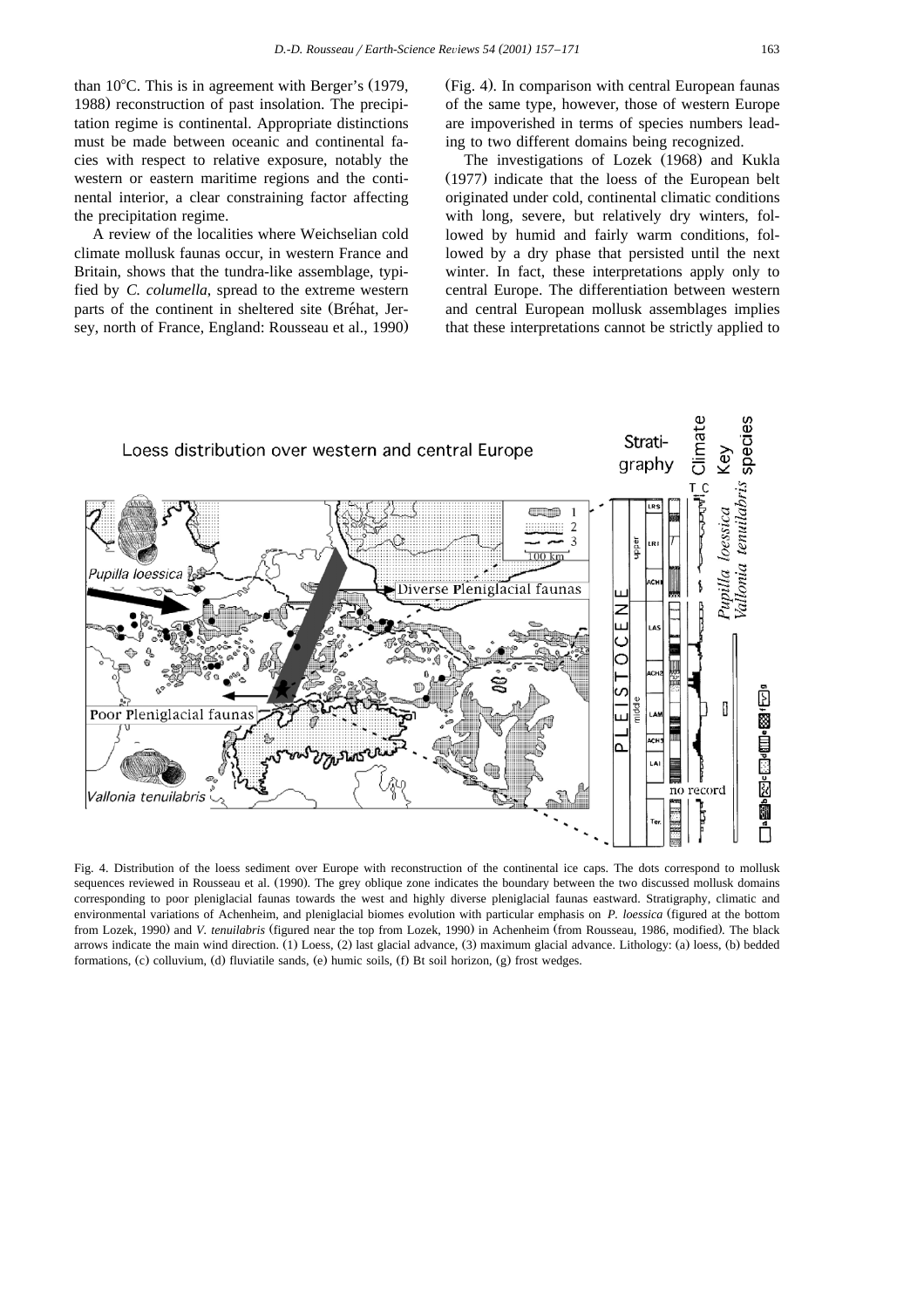than  $10^{\circ}$ C. This is in agreement with Berger's (1979, 1988) reconstruction of past insolation. The precipitation regime is continental. Appropriate distinctions must be made between oceanic and continental facies with respect to relative exposure, notably the western or eastern maritime regions and the continental interior, a clear constraining factor affecting the precipitation regime.

A review of the localities where Weichselian cold climate mollusk faunas occur, in western France and Britain, shows that the tundra-like assemblage, typified by *C. columella*, spread to the extreme western parts of the continent in sheltered site (Bréhat, Jersey, north of France, England: Rousseau et al., 1990.

(Fig. 4). In comparison with central European faunas of the same type, however, those of western Europe are impoverished in terms of species numbers leading to two different domains being recognized.

The investigations of Lozek (1968) and Kukla  $(1977)$  indicate that the loess of the European belt originated under cold, continental climatic conditions with long, severe, but relatively dry winters, followed by humid and fairly warm conditions, followed by a dry phase that persisted until the next winter. In fact, these interpretations apply only to central Europe. The differentiation between western and central European mollusk assemblages implies that these interpretations cannot be strictly applied to



Fig. 4. Distribution of the loess sediment over Europe with reconstruction of the continental ice caps. The dots correspond to mollusk sequences reviewed in Rousseau et al. (1990). The grey oblique zone indicates the boundary between the two discussed mollusk domains corresponding to poor pleniglacial faunas towards the west and highly diverse pleniglacial faunas eastward. Stratigraphy, climatic and environmental variations of Achenheim, and pleniglacial biomes evolution with particular emphasis on *P. loessica* (figured at the bottom from Lozek, 1990) and V. tenuilabris (figured near the top from Lozek, 1990) in Achenheim (from Rousseau, 1986, modified). The black arrows indicate the main wind direction. (1) Loess, (2) last glacial advance, (3) maximum glacial advance. Lithology: (a) loess, (b) bedded formations, (c) colluvium, (d) fluviatile sands, (e) humic soils, (f) Bt soil horizon, (g) frost wedges.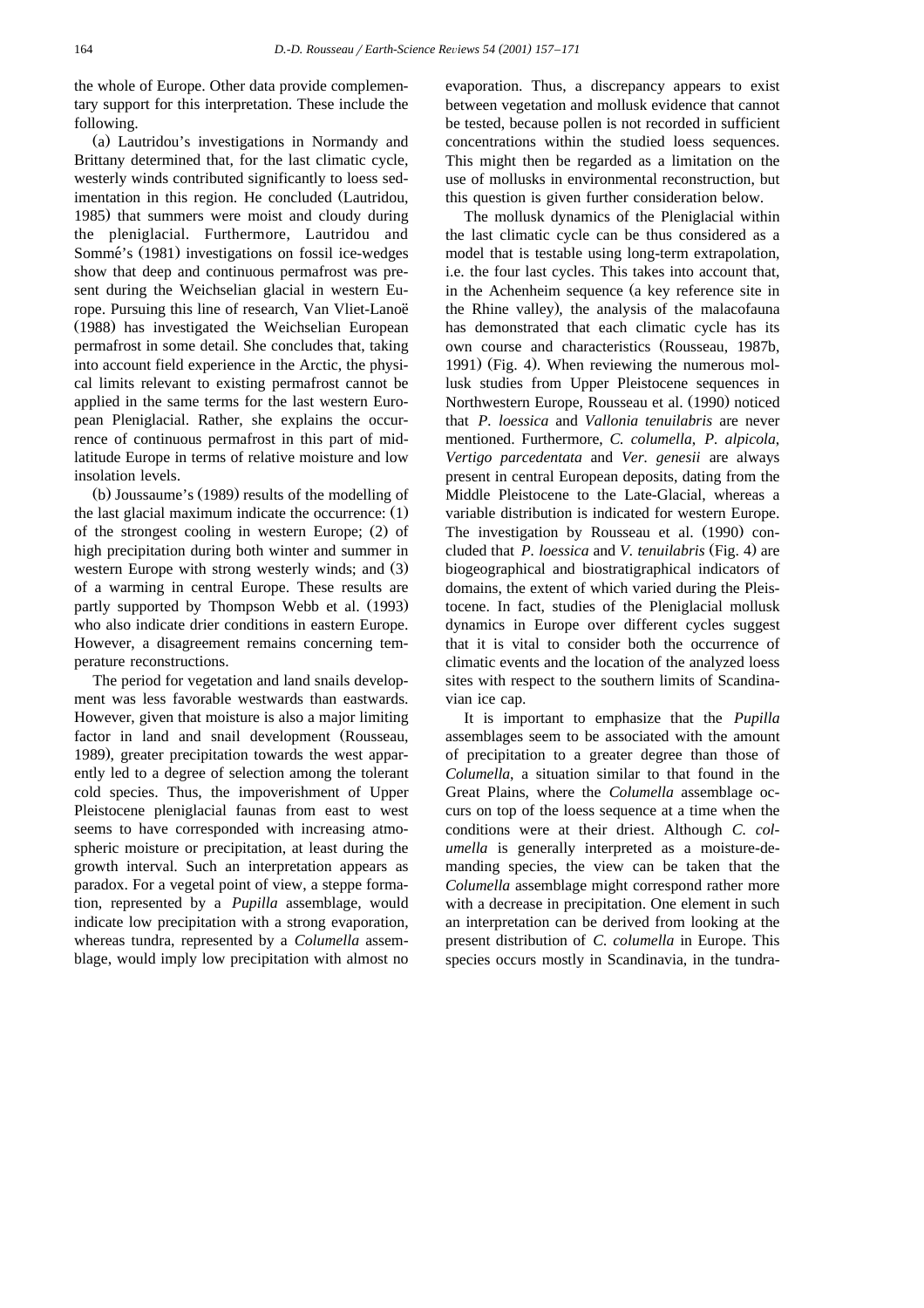the whole of Europe. Other data provide complementary support for this interpretation. These include the following.

(a) Lautridou's investigations in Normandy and Brittany determined that, for the last climatic cycle, westerly winds contributed significantly to loess sedimentation in this region. He concluded (Lautridou, 1985) that summers were moist and cloudy during the pleniglacial. Furthermore, Lautridou and Sommé's (1981) investigations on fossil ice-wedges show that deep and continuous permafrost was present during the Weichselian glacial in western Europe. Pursuing this line of research, Van Vliet-Lanoë (1988) has investigated the Weichselian European permafrost in some detail. She concludes that, taking into account field experience in the Arctic, the physical limits relevant to existing permafrost cannot be applied in the same terms for the last western European Pleniglacial. Rather, she explains the occurrence of continuous permafrost in this part of midlatitude Europe in terms of relative moisture and low insolation levels.

(b) Joussaume's  $(1989)$  results of the modelling of the last glacial maximum indicate the occurrence:  $(1)$ of the strongest cooling in western Europe;  $(2)$  of high precipitation during both winter and summer in western Europe with strong westerly winds; and (3). of a warming in central Europe. These results are partly supported by Thompson Webb et al. (1993) who also indicate drier conditions in eastern Europe. However, a disagreement remains concerning temperature reconstructions.

The period for vegetation and land snails development was less favorable westwards than eastwards. However, given that moisture is also a major limiting factor in land and snail development (Rousseau, 1989), greater precipitation towards the west apparently led to a degree of selection among the tolerant cold species. Thus, the impoverishment of Upper Pleistocene pleniglacial faunas from east to west seems to have corresponded with increasing atmospheric moisture or precipitation, at least during the growth interval. Such an interpretation appears as paradox. For a vegetal point of view, a steppe formation, represented by a *Pupilla* assemblage, would indicate low precipitation with a strong evaporation, whereas tundra, represented by a *Columella* assemblage, would imply low precipitation with almost no

evaporation. Thus, a discrepancy appears to exist between vegetation and mollusk evidence that cannot be tested, because pollen is not recorded in sufficient concentrations within the studied loess sequences. This might then be regarded as a limitation on the use of mollusks in environmental reconstruction, but this question is given further consideration below.

The mollusk dynamics of the Pleniglacial within the last climatic cycle can be thus considered as a model that is testable using long-term extrapolation, i.e. the four last cycles. This takes into account that, in the Achenheim sequence (a key reference site in the Rhine valley), the analysis of the malacofauna has demonstrated that each climatic cycle has its own course and characteristics (Rousseau, 1987b, 1991) (Fig. 4). When reviewing the numerous mollusk studies from Upper Pleistocene sequences in Northwestern Europe, Rousseau et al. (1990) noticed that *P. loessica* and *Vallonia tenuilabris* are never mentioned. Furthermore, *C. columella*, *P. alpicola*, *Vertigo parcedentata* and *Ver. genesii* are always present in central European deposits, dating from the Middle Pleistocene to the Late-Glacial, whereas a variable distribution is indicated for western Europe. The investigation by Rousseau et al. (1990) concluded that *P. loessica* and *V. tenuilabris* (Fig. 4) are biogeographical and biostratigraphical indicators of domains, the extent of which varied during the Pleistocene. In fact, studies of the Pleniglacial mollusk dynamics in Europe over different cycles suggest that it is vital to consider both the occurrence of climatic events and the location of the analyzed loess sites with respect to the southern limits of Scandinavian ice cap.

It is important to emphasize that the *Pupilla* assemblages seem to be associated with the amount of precipitation to a greater degree than those of *Columella*, a situation similar to that found in the Great Plains, where the *Columella* assemblage occurs on top of the loess sequence at a time when the conditions were at their driest. Although *C. columella* is generally interpreted as a moisture-demanding species, the view can be taken that the *Columella* assemblage might correspond rather more with a decrease in precipitation. One element in such an interpretation can be derived from looking at the present distribution of *C. columella* in Europe. This species occurs mostly in Scandinavia, in the tundra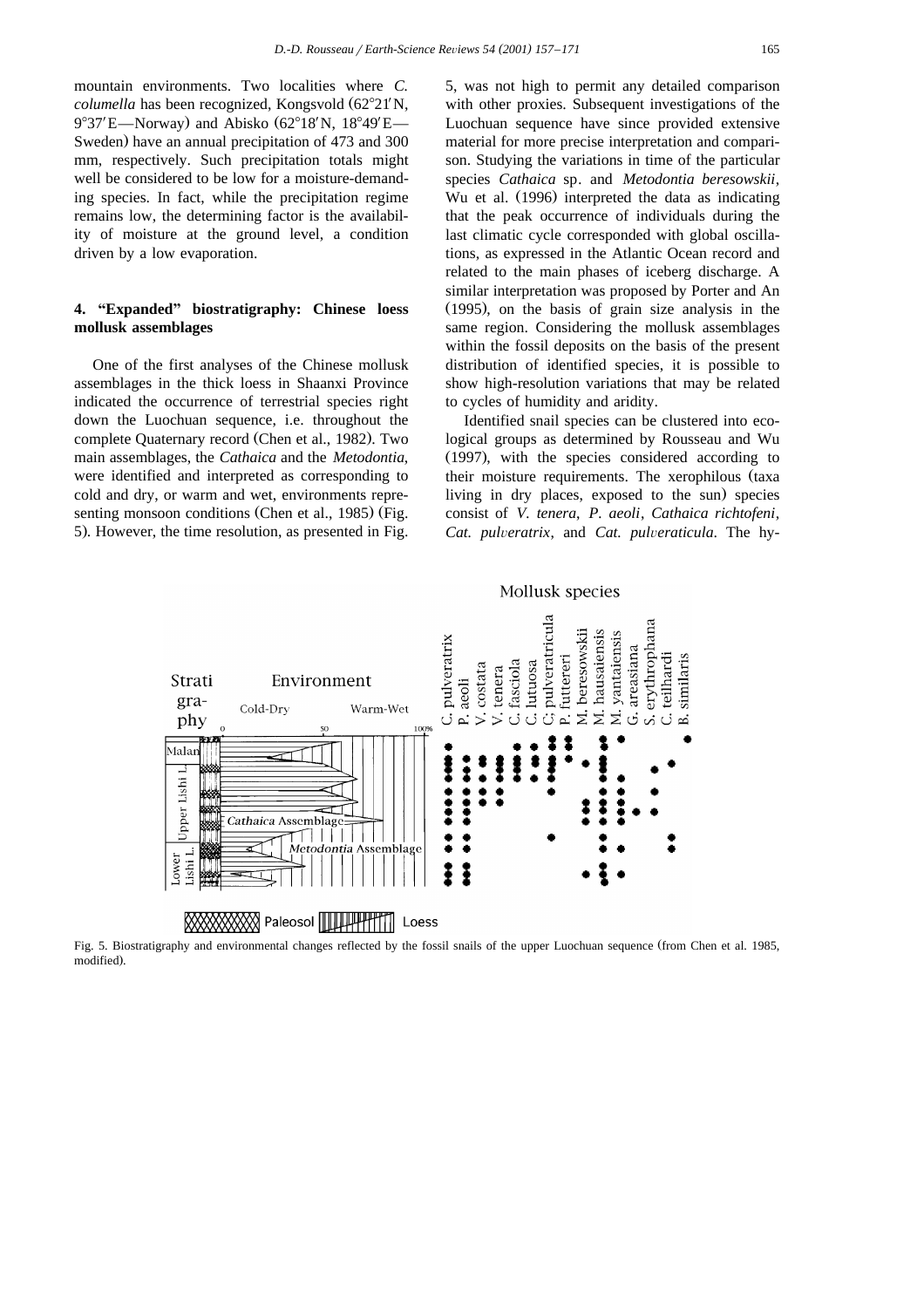mountain environments. Two localities where *C. columella* has been recognized, Kongsvold (62°21'N, 9°37'E—Norway) and Abisko (62°18'N, 18°49'E— Sweden) have an annual precipitation of 473 and 300 mm, respectively. Such precipitation totals might well be considered to be low for a moisture-demanding species. In fact, while the precipitation regime remains low, the determining factor is the availability of moisture at the ground level, a condition driven by a low evaporation.

# 4. "Expanded" biostratigraphy: Chinese loess **mollusk assemblages**

One of the first analyses of the Chinese mollusk assemblages in the thick loess in Shaanxi Province indicated the occurrence of terrestrial species right down the Luochuan sequence, i.e. throughout the complete Quaternary record (Chen et al., 1982). Two main assemblages, the *Cathaica* and the *Metodontia*, were identified and interpreted as corresponding to cold and dry, or warm and wet, environments representing monsoon conditions (Chen et al., 1985) (Fig. 5). However, the time resolution, as presented in Fig.

5, was not high to permit any detailed comparison with other proxies. Subsequent investigations of the Luochuan sequence have since provided extensive material for more precise interpretation and comparison. Studying the variations in time of the particular species *Cathaica* sp*.* and *Metodontia beresowskii*, Wu et al. (1996) interpreted the data as indicating that the peak occurrence of individuals during the last climatic cycle corresponded with global oscillations, as expressed in the Atlantic Ocean record and related to the main phases of iceberg discharge. A similar interpretation was proposed by Porter and An  $(1995)$ , on the basis of grain size analysis in the same region. Considering the mollusk assemblages within the fossil deposits on the basis of the present distribution of identified species, it is possible to show high-resolution variations that may be related to cycles of humidity and aridity.

Identified snail species can be clustered into ecological groups as determined by Rousseau and Wu  $(1997)$ , with the species considered according to their moisture requirements. The xerophilous (taxa living in dry places, exposed to the sun) species consist of *V. tenera*, *P. aeoli*, *Cathaica richtofeni*, *Cat. pulveratrix, and <i>Cat. pulveraticula*. The hy-



Fig. 5. Biostratigraphy and environmental changes reflected by the fossil snails of the upper Luochuan sequence (from Chen et al. 1985, modified).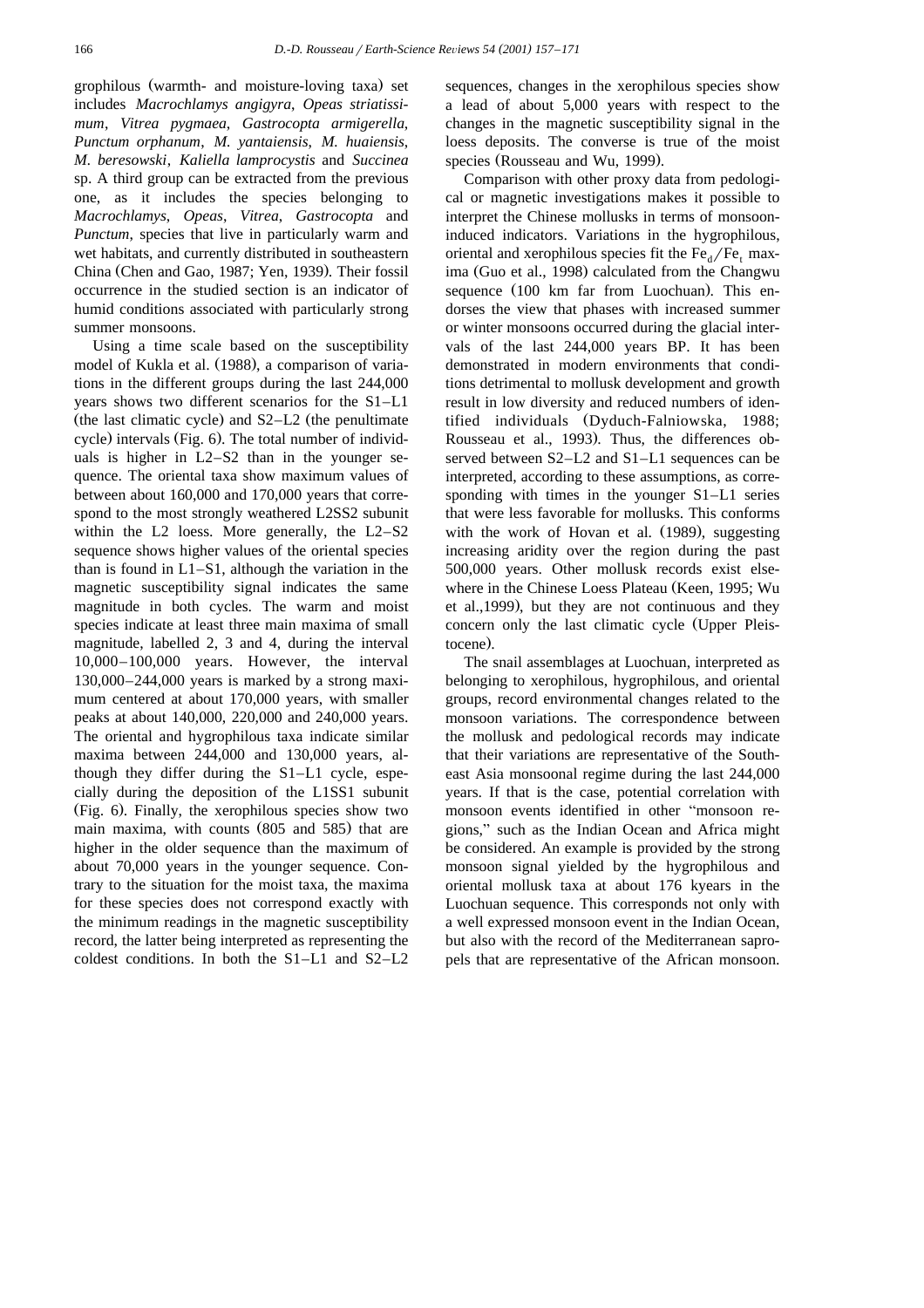grophilous (warmth- and moisture-loving taxa) set includes *Macrochlamys angigyra*, *Opeas striatissimum*, *Vitrea pygmaea*, *Gastrocopta armigerella*, *Punctum orphanum*, *M. yantaiensis*, *M. huaiensis*, *M. beresowski*, *Kaliella lamprocystis* and *Succinea* sp. A third group can be extracted from the previous one, as it includes the species belonging to *Macrochlamys*, *Opeas*, *Vitrea*, *Gastrocopta* and *Punctum*, species that live in particularly warm and wet habitats, and currently distributed in southeastern China (Chen and Gao, 1987; Yen, 1939). Their fossil occurrence in the studied section is an indicator of humid conditions associated with particularly strong summer monsoons.

Using a time scale based on the susceptibility model of Kukla et al. (1988), a comparison of variations in the different groups during the last 244,000 years shows two different scenarios for the S1–L1 (the last climatic cycle) and  $S2-L2$  (the penultimate cycle) intervals (Fig. 6). The total number of individuals is higher in L2–S2 than in the younger sequence. The oriental taxa show maximum values of between about 160,000 and 170,000 years that correspond to the most strongly weathered L2SS2 subunit within the L2 loess. More generally, the L2–S2 sequence shows higher values of the oriental species than is found in  $L1-S1$ , although the variation in the magnetic susceptibility signal indicates the same magnitude in both cycles. The warm and moist species indicate at least three main maxima of small magnitude, labelled 2, 3 and 4, during the interval 10,000–100,000 years. However, the interval 130,000–244,000 years is marked by a strong maximum centered at about 170,000 years, with smaller peaks at about 140,000, 220,000 and 240,000 years. The oriental and hygrophilous taxa indicate similar maxima between 244,000 and 130,000 years, although they differ during the S1–L1 cycle, especially during the deposition of the L1SS1 subunit (Fig. 6). Finally, the xerophilous species show two main maxima, with counts (805 and 585) that are higher in the older sequence than the maximum of about 70,000 years in the younger sequence. Contrary to the situation for the moist taxa, the maxima for these species does not correspond exactly with the minimum readings in the magnetic susceptibility record, the latter being interpreted as representing the coldest conditions. In both the S1–L1 and S2–L2

sequences, changes in the xerophilous species show a lead of about 5,000 years with respect to the changes in the magnetic susceptibility signal in the loess deposits. The converse is true of the moist species (Rousseau and Wu, 1999).

Comparison with other proxy data from pedological or magnetic investigations makes it possible to interpret the Chinese mollusks in terms of monsooninduced indicators. Variations in the hygrophilous, oriental and xerophilous species fit the  $Fe<sub>d</sub>/Fe<sub>t</sub>$  maxima (Guo et al., 1998) calculated from the Changwu sequence  $(100 \text{ km} \text{ far from Luochuan})$ . This endorses the view that phases with increased summer or winter monsoons occurred during the glacial intervals of the last 244,000 years BP. It has been demonstrated in modern environments that conditions detrimental to mollusk development and growth result in low diversity and reduced numbers of identified individuals (Dyduch-Falniowska, 1988; Rousseau et al., 1993). Thus, the differences observed between S2–L2 and S1–L1 sequences can be interpreted, according to these assumptions, as corresponding with times in the younger S1–L1 series that were less favorable for mollusks. This conforms with the work of Hovan et al.  $(1989)$ , suggesting increasing aridity over the region during the past 500,000 years. Other mollusk records exist elsewhere in the Chinese Loess Plateau (Keen, 1995; Wu et al., 1999), but they are not continuous and they concern only the last climatic cycle (Upper Pleistocene).

The snail assemblages at Luochuan, interpreted as belonging to xerophilous, hygrophilous, and oriental groups, record environmental changes related to the monsoon variations. The correspondence between the mollusk and pedological records may indicate that their variations are representative of the Southeast Asia monsoonal regime during the last 244,000 years. If that is the case, potential correlation with monsoon events identified in other "monsoon regions," such as the Indian Ocean and Africa might be considered. An example is provided by the strong monsoon signal yielded by the hygrophilous and oriental mollusk taxa at about 176 kyears in the Luochuan sequence. This corresponds not only with a well expressed monsoon event in the Indian Ocean, but also with the record of the Mediterranean sapropels that are representative of the African monsoon.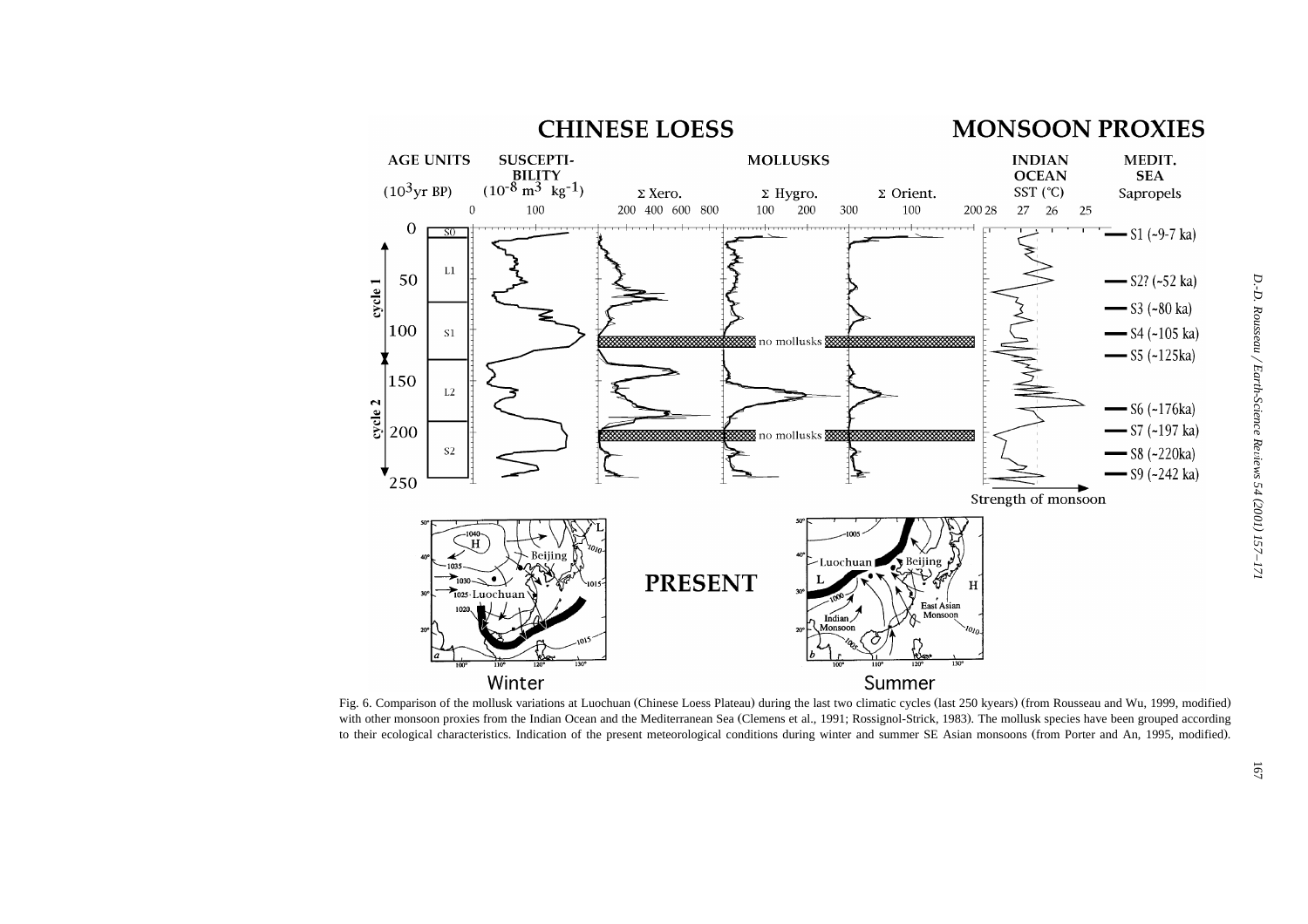

Fig. 6. Comparison of the mollusk variations at Luochuan (Chinese Loess Plateau) during the last two climatic cycles (last 250 kyears) (from Rousseau and Wu, 1999, modified) with other monsoon proxies from the Indian Ocea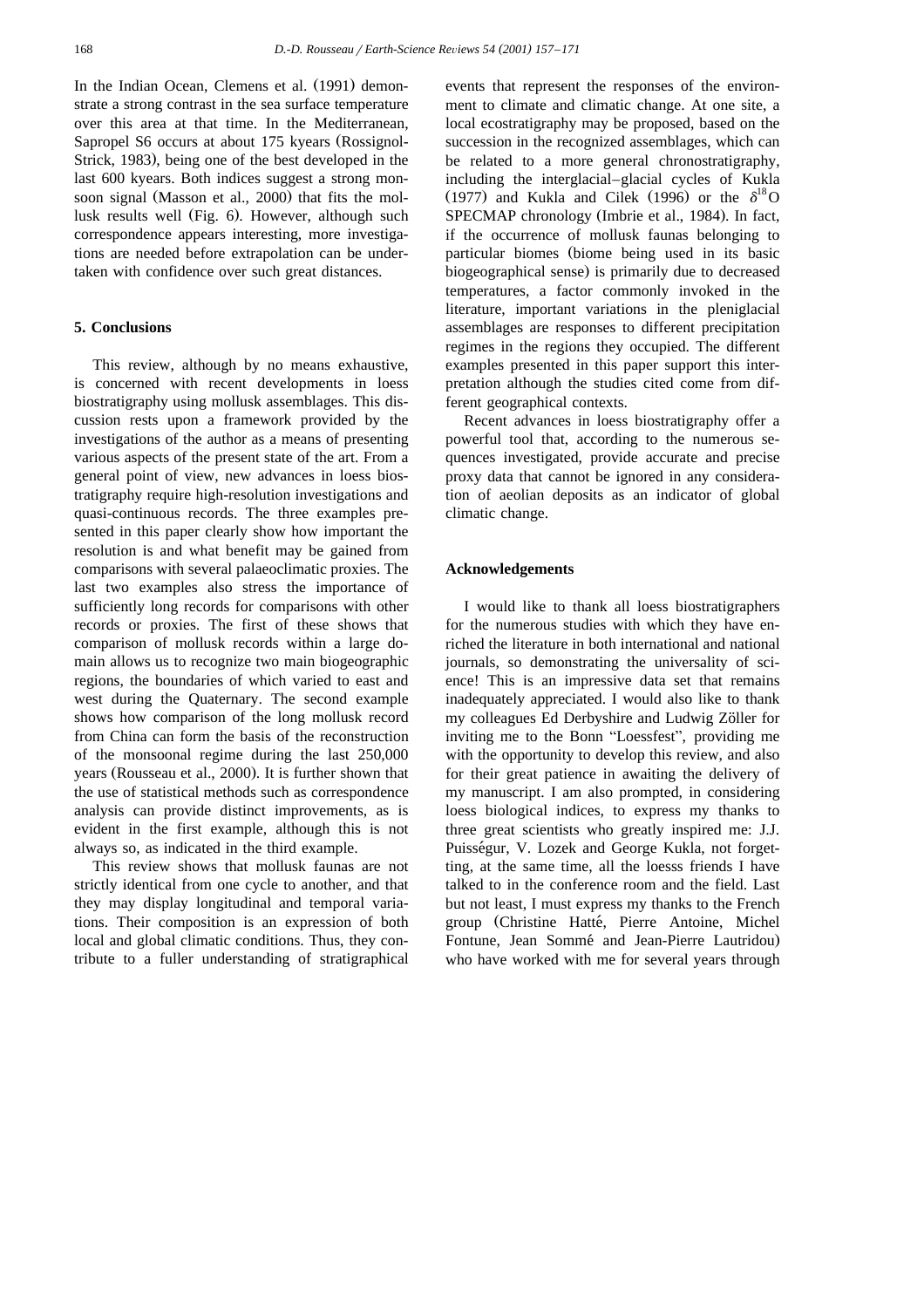In the Indian Ocean, Clemens et al. (1991) demonstrate a strong contrast in the sea surface temperature over this area at that time. In the Mediterranean, Sapropel S6 occurs at about 175 kyears (Rossignol-Strick, 1983), being one of the best developed in the last 600 kyears. Both indices suggest a strong monsoon signal (Masson et al., 2000) that fits the mollusk results well (Fig. 6). However, although such correspondence appears interesting, more investigations are needed before extrapolation can be undertaken with confidence over such great distances.

#### **5. Conclusions**

This review, although by no means exhaustive, is concerned with recent developments in loess biostratigraphy using mollusk assemblages. This discussion rests upon a framework provided by the investigations of the author as a means of presenting various aspects of the present state of the art. From a general point of view, new advances in loess biostratigraphy require high-resolution investigations and quasi-continuous records. The three examples presented in this paper clearly show how important the resolution is and what benefit may be gained from comparisons with several palaeoclimatic proxies. The last two examples also stress the importance of sufficiently long records for comparisons with other records or proxies. The first of these shows that comparison of mollusk records within a large domain allows us to recognize two main biogeographic regions, the boundaries of which varied to east and west during the Quaternary. The second example shows how comparison of the long mollusk record from China can form the basis of the reconstruction of the monsoonal regime during the last 250,000 years (Rousseau et al., 2000). It is further shown that the use of statistical methods such as correspondence analysis can provide distinct improvements, as is evident in the first example, although this is not always so, as indicated in the third example.

This review shows that mollusk faunas are not strictly identical from one cycle to another, and that they may display longitudinal and temporal variations. Their composition is an expression of both local and global climatic conditions. Thus, they contribute to a fuller understanding of stratigraphical events that represent the responses of the environment to climate and climatic change. At one site, a local ecostratigraphy may be proposed, based on the succession in the recognized assemblages, which can be related to a more general chronostratigraphy, including the interglacial–glacial cycles of Kukla (1977) and Kukla and Cilek (1996) or the  $\delta^{18}$ O SPECMAP chronology (Imbrie et al., 1984). In fact, if the occurrence of mollusk faunas belonging to particular biomes (biome being used in its basic biogeographical sense) is primarily due to decreased temperatures, a factor commonly invoked in the literature, important variations in the pleniglacial assemblages are responses to different precipitation regimes in the regions they occupied. The different examples presented in this paper support this interpretation although the studies cited come from different geographical contexts.

Recent advances in loess biostratigraphy offer a powerful tool that, according to the numerous sequences investigated, provide accurate and precise proxy data that cannot be ignored in any consideration of aeolian deposits as an indicator of global climatic change.

## **Acknowledgements**

I would like to thank all loess biostratigraphers for the numerous studies with which they have enriched the literature in both international and national journals, so demonstrating the universality of science! This is an impressive data set that remains inadequately appreciated. I would also like to thank my colleagues Ed Derbyshire and Ludwig Zöller for inviting me to the Bonn "Loessfest", providing me with the opportunity to develop this review, and also for their great patience in awaiting the delivery of my manuscript. I am also prompted, in considering loess biological indices, to express my thanks to three great scientists who greatly inspired me: J.J. Puisségur, V. Lozek and George Kukla, not forgetting, at the same time, all the loesss friends I have talked to in the conference room and the field. Last but not least, I must express my thanks to the French group (Christine Hatté, Pierre Antoine, Michel Fontune, Jean Sommé and Jean-Pierre Lautridou) who have worked with me for several years through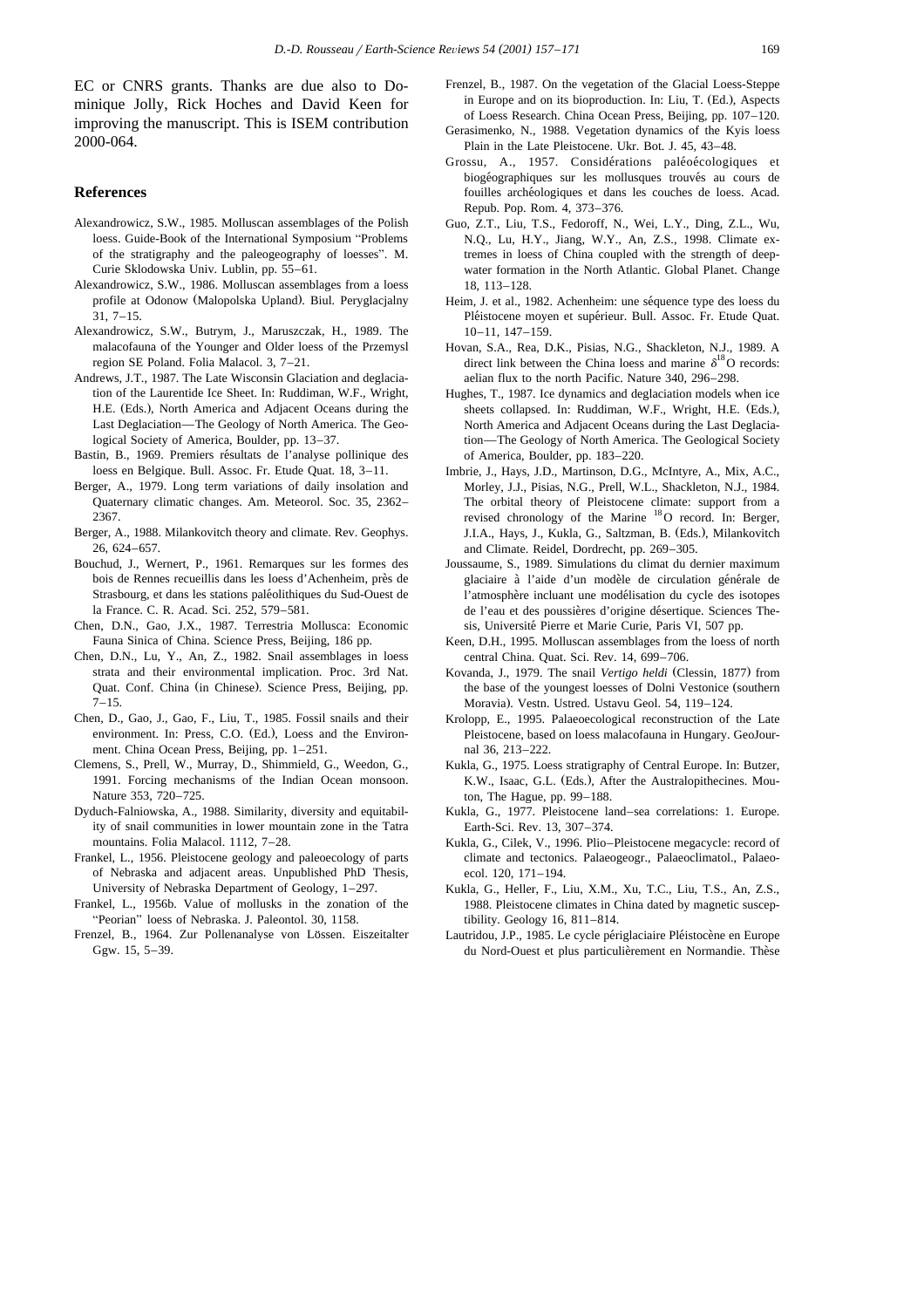EC or CNRS grants. Thanks are due also to Dominique Jolly, Rick Hoches and David Keen for improving the manuscript. This is ISEM contribution 2000-064.

## **References**

- Alexandrowicz, S.W., 1985. Molluscan assemblages of the Polish loess. Guide-Book of the International Symposium "Problems of the stratigraphy and the paleogeography of loesses". M. Curie Sklodowska Univ. Lublin, pp. 55–61.
- Alexandrowicz, S.W., 1986. Molluscan assemblages from a loess profile at Odonow (Malopolska Upland). Biul. Peryglacjalny 31, 7–15.
- Alexandrowicz, S.W., Butrym, J., Maruszczak, H., 1989. The malacofauna of the Younger and Older loess of the Przemysl region SE Poland. Folia Malacol. 3, 7–21.
- Andrews, J.T., 1987. The Late Wisconsin Glaciation and deglaciation of the Laurentide Ice Sheet. In: Ruddiman, W.F., Wright, H.E. (Eds.), North America and Adjacent Oceans during the Last Deglaciation—The Geology of North America. The Geological Society of America, Boulder, pp. 13–37.
- Bastin, B., 1969. Premiers résultats de l'analyse pollinique des loess en Belgique. Bull. Assoc. Fr. Etude Quat. 18, 3–11.
- Berger, A., 1979. Long term variations of daily insolation and Quaternary climatic changes. Am. Meteorol. Soc. 35, 2362– 2367.
- Berger, A., 1988. Milankovitch theory and climate. Rev. Geophys. 26, 624–657.
- Bouchud, J., Wernert, P., 1961. Remarques sur les formes des bois de Rennes recueillis dans les loess d'Achenheim, près de Strasbourg, et dans les stations paleolithiques du Sud-Ouest de ´ la France. C. R. Acad. Sci. 252, 579–581.
- Chen, D.N., Gao, J.X., 1987. Terrestria Mollusca: Economic Fauna Sinica of China. Science Press, Beijing, 186 pp.
- Chen, D.N., Lu, Y., An, Z., 1982. Snail assemblages in loess strata and their environmental implication. Proc. 3rd Nat. Quat. Conf. China (in Chinese). Science Press, Beijing, pp.  $7 - 15$ .
- Chen, D., Gao, J., Gao, F., Liu, T., 1985. Fossil snails and their environment. In: Press, C.O. (Ed.), Loess and the Environment. China Ocean Press, Beijing, pp. 1–251.
- Clemens, S., Prell, W., Murray, D., Shimmield, G., Weedon, G., 1991. Forcing mechanisms of the Indian Ocean monsoon. Nature 353, 720–725.
- Dyduch-Falniowska, A., 1988. Similarity, diversity and equitability of snail communities in lower mountain zone in the Tatra mountains. Folia Malacol. 1112, 7–28.
- Frankel, L., 1956. Pleistocene geology and paleoecology of parts of Nebraska and adjacent areas. Unpublished PhD Thesis, University of Nebraska Department of Geology, 1–297.
- Frankel, L., 1956b. Value of mollusks in the zonation of the "Peorian" loess of Nebraska. J. Paleontol. 30, 1158.
- Frenzel, B., 1964. Zur Pollenanalyse von Lössen. Eiszeitalter Ggw. 15, 5–39.
- Frenzel, B., 1987. On the vegetation of the Glacial Loess-Steppe in Europe and on its bioproduction. In: Liu, T. (Ed.), Aspects of Loess Research. China Ocean Press, Beijing, pp. 107–120.
- Gerasimenko, N., 1988. Vegetation dynamics of the Kyis loess Plain in the Late Pleistocene. Ukr. Bot. J. 45, 43–48.
- Grossu, A., 1957. Considérations paléoécologiques et biogéographiques sur les mollusques trouvés au cours de fouilles archéologiques et dans les couches de loess. Acad. Repub. Pop. Rom. 4, 373–376.
- Guo, Z.T., Liu, T.S., Fedoroff, N., Wei, L.Y., Ding, Z.L., Wu, N.Q., Lu, H.Y., Jiang, W.Y., An, Z.S., 1998. Climate extremes in loess of China coupled with the strength of deepwater formation in the North Atlantic. Global Planet. Change 18, 113–128.
- Heim, J. et al., 1982. Achenheim: une séquence type des loess du Pléistocene moyen et supérieur. Bull. Assoc. Fr. Etude Quat. 10–11, 147–159.
- Hovan, S.A., Rea, D.K., Pisias, N.G., Shackleton, N.J., 1989. A direct link between the China loess and marine  $\delta^{18}O$  records: aelian flux to the north Pacific. Nature 340, 296–298.
- Hughes, T., 1987. Ice dynamics and deglaciation models when ice sheets collapsed. In: Ruddiman, W.F., Wright, H.E. (Eds.), North America and Adjacent Oceans during the Last Deglaciation—The Geology of North America. The Geological Society of America, Boulder, pp. 183–220.
- Imbrie, J., Hays, J.D., Martinson, D.G., McIntyre, A., Mix, A.C., Morley, J.J., Pisias, N.G., Prell, W.L., Shackleton, N.J., 1984. The orbital theory of Pleistocene climate: support from a revised chronology of the Marine <sup>18</sup>O record. In: Berger, J.I.A., Hays, J., Kukla, G., Saltzman, B. (Eds.), Milankovitch and Climate. Reidel, Dordrecht, pp. 269–305.
- Joussaume, S., 1989. Simulations du climat du dernier maximum glaciaire à l'aide d'un modèle de circulation générale de l'atmosphere incluant une modelisation du cycle des isotopes ` ´ de l'eau et des poussières d'origine désertique. Sciences Thesis, Université Pierre et Marie Curie, Paris VI, 507 pp.
- Keen, D.H., 1995. Molluscan assemblages from the loess of north central China. Quat. Sci. Rev. 14, 699–706.
- Kovanda, J., 1979. The snail *Vertigo heldi* (Clessin, 1877) from the base of the youngest loesses of Dolni Vestonice (southern Moravia). Vestn. Ustred. Ustavu Geol. 54, 119-124.
- Krolopp, E., 1995. Palaeoecological reconstruction of the Late Pleistocene, based on loess malacofauna in Hungary. GeoJournal 36, 213–222.
- Kukla, G., 1975. Loess stratigraphy of Central Europe. In: Butzer, K.W., Isaac, G.L. (Eds.), After the Australopithecines. Mouton, The Hague, pp. 99–188.
- Kukla, G., 1977. Pleistocene land–sea correlations: 1. Europe. Earth-Sci. Rev. 13, 307–374.
- Kukla, G., Cilek, V., 1996. Plio–Pleistocene megacycle: record of climate and tectonics. Palaeogeogr., Palaeoclimatol., Palaeoecol. 120, 171–194.
- Kukla, G., Heller, F., Liu, X.M., Xu, T.C., Liu, T.S., An, Z.S., 1988. Pleistocene climates in China dated by magnetic susceptibility. Geology 16, 811–814.
- Lautridou, J.P., 1985. Le cycle périglaciaire Pléistocène en Europe du Nord-Ouest et plus particulièrement en Normandie. Thèse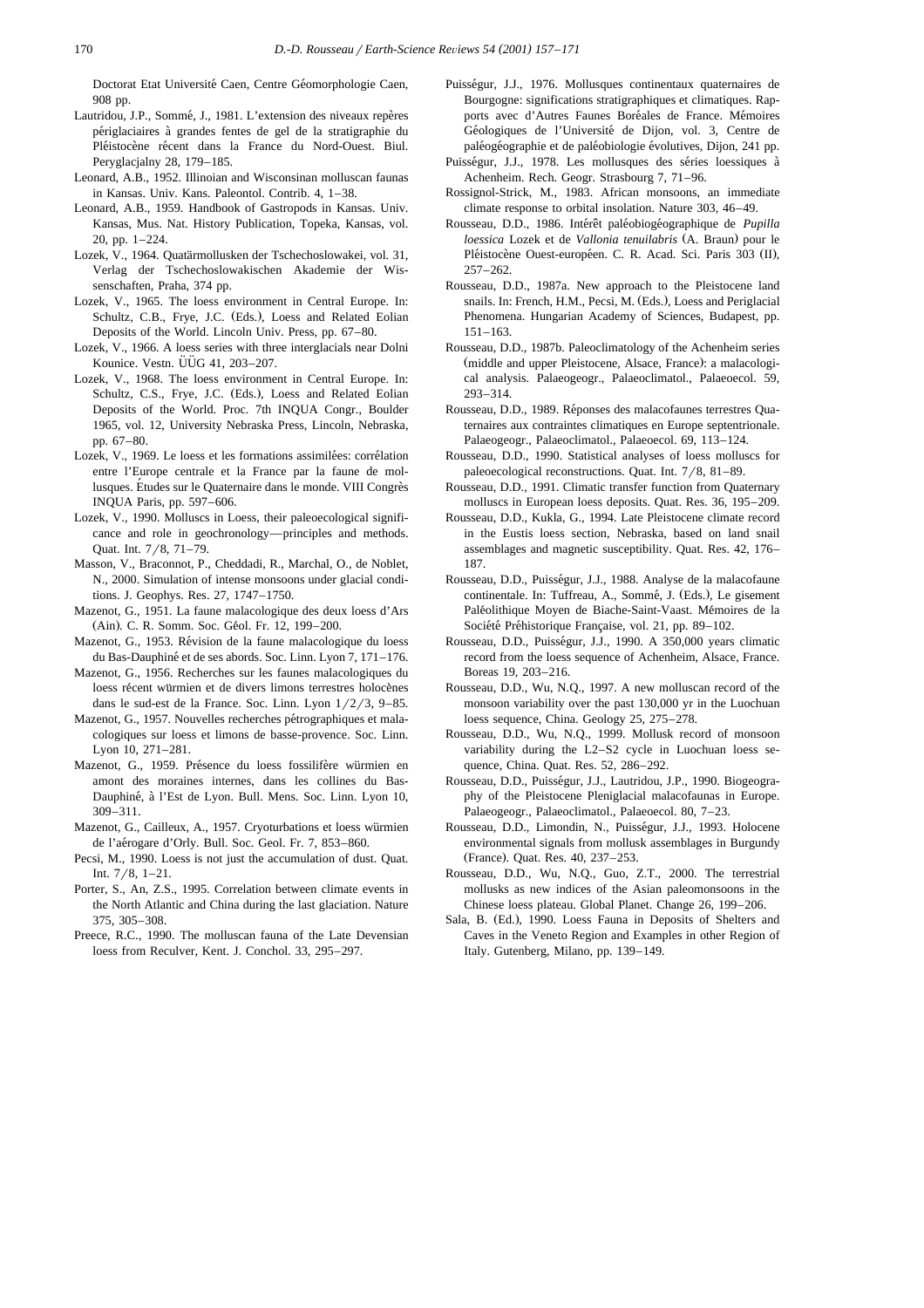Doctorat Etat Université Caen, Centre Géomorphologie Caen, 908 pp.

- Lautridou, J.P., Sommé, J., 1981. L'extension des niveaux repères periglaciaires a grandes fentes de gel de la stratigraphie du ´ ` Pléistocène récent dans la France du Nord-Ouest. Biul. Peryglacjalny 28, 179–185.
- Leonard, A.B., 1952. Illinoian and Wisconsinan molluscan faunas in Kansas. Univ. Kans. Paleontol. Contrib. 4, 1–38.
- Leonard, A.B., 1959. Handbook of Gastropods in Kansas. Univ. Kansas, Mus. Nat. History Publication, Topeka, Kansas, vol. 20, pp. 1–224.
- Lozek, V., 1964. Quatärmollusken der Tschechoslowakei, vol. 31, Verlag der Tschechoslowakischen Akademie der Wissenschaften, Praha, 374 pp.
- Lozek, V., 1965. The loess environment in Central Europe. In: Schultz, C.B., Frye, J.C. (Eds.), Loess and Related Eolian Deposits of the World. Lincoln Univ. Press, pp. 67–80.
- Lozek, V., 1966. A loess series with three interglacials near Dolni Kounice. Vestn.  $\ddot{U}\ddot{U}G$  41, 203–207.
- Lozek, V., 1968. The loess environment in Central Europe. In: Schultz, C.S., Frye, J.C. (Eds.), Loess and Related Eolian Deposits of the World. Proc. 7th INQUA Congr., Boulder 1965, vol. 12, University Nebraska Press, Lincoln, Nebraska, pp. 67–80.
- Lozek, V., 1969. Le loess et les formations assimilées: corrélation entre l'Europe centrale et la France par la faune de mollusques. Études sur le Quaternaire dans le monde. VIII Congrès INQUA Paris, pp. 597–606.
- Lozek, V., 1990. Molluscs in Loess, their paleoecological significance and role in geochronology—principles and methods. Quat. Int. 7/8, 71-79.
- Masson, V., Braconnot, P., Cheddadi, R., Marchal, O., de Noblet, N., 2000. Simulation of intense monsoons under glacial conditions. J. Geophys. Res. 27, 1747–1750.
- Mazenot, G., 1951. La faune malacologique des deux loess d'Ars (Ain). C. R. Somm. Soc. Géol. Fr. 12, 199-200.
- Mazenot, G., 1953. Révision de la faune malacologique du loess du Bas-Dauphiné et de ses abords. Soc. Linn. Lyon 7, 171-176.
- Mazenot, G., 1956. Recherches sur les faunes malacologiques du loess récent würmien et de divers limons terrestres holocènes dans le sud-est de la France. Soc. Linn. Lyon  $1/2/3$ , 9–85.
- Mazenot, G., 1957. Nouvelles recherches pétrographiques et malacologiques sur loess et limons de basse-provence. Soc. Linn. Lyon 10, 271–281.
- Mazenot, G., 1959. Présence du loess fossilifère würmien en amont des moraines internes, dans les collines du Bas-Dauphiné, à l'Est de Lyon. Bull. Mens. Soc. Linn. Lyon 10, 309–311.
- Mazenot, G., Cailleux, A., 1957. Cryoturbations et loess würmien de l'aérogare d'Orly. Bull. Soc. Geol. Fr. 7, 853-860.
- Pecsi, M., 1990. Loess is not just the accumulation of dust. Quat. Int.  $7/8$ ,  $1-21$ .
- Porter, S., An, Z.S., 1995. Correlation between climate events in the North Atlantic and China during the last glaciation. Nature 375, 305–308.
- Preece, R.C., 1990. The molluscan fauna of the Late Devensian loess from Reculver, Kent. J. Conchol. 33, 295–297.
- Puisségur, J.J., 1976. Mollusques continentaux quaternaires de Bourgogne: significations stratigraphiques et climatiques. Rapports avec d'Autres Faunes Boréales de France. Mémoires Géologiques de l'Université de Dijon, vol. 3, Centre de paléogéographie et de paléobiologie évolutives, Dijon, 241 pp.
- Puisségur, J.J., 1978. Les mollusques des séries loessiques à Achenheim. Rech. Geogr. Strasbourg 7, 71–96.
- Rossignol-Strick, M., 1983. African monsoons, an immediate climate response to orbital insolation. Nature 303, 46–49.
- Rousseau, D.D., 1986. Intérêt paléobiogéographique de *Pupilla loessica* Lozek et de *Vallonia tenuilabris* (A. Braun) pour le Pléistocène Ouest-européen. C. R. Acad. Sci. Paris 303 (II), 257–262.
- Rousseau, D.D., 1987a. New approach to the Pleistocene land snails. In: French, H.M., Pecsi, M. (Eds.), Loess and Periglacial Phenomena. Hungarian Academy of Sciences, Budapest, pp. 151–163.
- Rousseau, D.D., 1987b. Paleoclimatology of the Achenheim series (middle and upper Pleistocene, Alsace, France): a malacological analysis. Palaeogeogr., Palaeoclimatol., Palaeoecol. 59, 293–314.
- Rousseau, D.D., 1989. Reponses des malacofaunes terrestres Qua- ´ ternaires aux contraintes climatiques en Europe septentrionale. Palaeogeogr., Palaeoclimatol., Palaeoecol. 69, 113–124.
- Rousseau, D.D., 1990. Statistical analyses of loess molluscs for paleoecological reconstructions. Quat. Int.  $7/8$ ,  $81-89$ .
- Rousseau, D.D., 1991. Climatic transfer function from Quaternary molluscs in European loess deposits. Quat. Res. 36, 195–209.
- Rousseau, D.D., Kukla, G., 1994. Late Pleistocene climate record in the Eustis loess section, Nebraska, based on land snail assemblages and magnetic susceptibility. Quat. Res. 42, 176– 187.
- Rousseau, D.D., Puissegur, J.J., 1988. Analyse de la malacofaune ´ continentale. In: Tuffreau, A., Sommé, J. (Eds.), Le gisement Paléolithique Moyen de Biache-Saint-Vaast. Mémoires de la Société Préhistorique Française, vol. 21, pp. 89-102.
- Rousseau, D.D., Puisségur, J.J., 1990. A 350,000 years climatic record from the loess sequence of Achenheim, Alsace, France. Boreas 19, 203–216.
- Rousseau, D.D., Wu, N.Q., 1997. A new molluscan record of the monsoon variability over the past 130,000 yr in the Luochuan loess sequence, China. Geology 25, 275–278.
- Rousseau, D.D., Wu, N.Q., 1999. Mollusk record of monsoon variability during the L2–S2 cycle in Luochuan loess sequence, China. Quat. Res. 52, 286–292.
- Rousseau, D.D., Puisségur, J.J., Lautridou, J.P., 1990. Biogeography of the Pleistocene Pleniglacial malacofaunas in Europe. Palaeogeogr., Palaeoclimatol., Palaeoecol. 80, 7–23.
- Rousseau, D.D., Limondin, N., Puissegur, J.J., 1993. Holocene ´ environmental signals from mollusk assemblages in Burgundy (France). Quat. Res. 40, 237–253.
- Rousseau, D.D., Wu, N.Q., Guo, Z.T., 2000. The terrestrial mollusks as new indices of the Asian paleomonsoons in the Chinese loess plateau. Global Planet. Change 26, 199–206.
- Sala, B. (Ed.), 1990. Loess Fauna in Deposits of Shelters and Caves in the Veneto Region and Examples in other Region of Italy. Gutenberg, Milano, pp. 139–149.